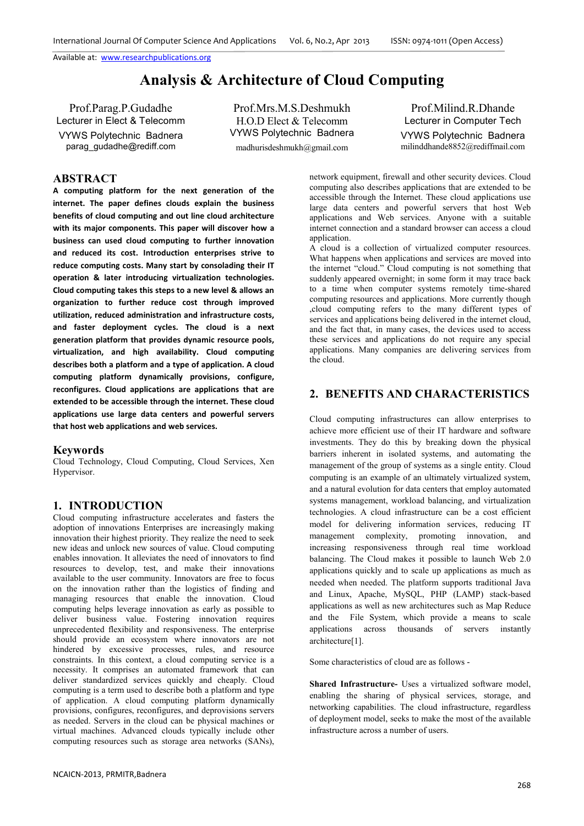# **Analysis & Architecture of Cloud Computing**

Prof.Parag.P.Gudadhe Lecturer in Elect & Telecomm VYWS Polytechnic Badnera parag\_gudadhe@rediff.com

Prof.Mrs.M.S.Deshmukh H.O.D Elect & Telecomm VYWS Polytechnic Badnera madhurisdeshmukh@gmail.com

Prof.Milind.R.Dhande Lecturer in Computer Tech VYWS Polytechnic Badnera milinddhande8852@rediffmail.com

# **ABSTRACT**

**A computing platform for the next generation of the internet. The paper defines clouds explain the business benefits of cloud computing and out line cloud architecture with its major components. This paper will discover how a business can used cloud computing to further innovation and reduced its cost. Introduction enterprises strive to reduce computing costs. Many start by consolading their IT operation & later introducing virtualization technologies. Cloud computing takes this steps to a new level & allows an organization to further reduce cost through improved utilization, reduced administration and infrastructure costs, and faster deployment cycles. The cloud is a next generation platform that provides dynamic resource pools, virtualization, and high availability. Cloud computing describes both a platform and a type of application. A cloud computing platform dynamically provisions, configure, reconfigures. Cloud applications are applications that are extended to be accessible through the internet. These cloud applications use large data centers and powerful servers that host web applications and web services.** 

#### **Keywords**

Cloud Technology, Cloud Computing, Cloud Services, Xen Hypervisor.

### **1. INTRODUCTION**

Cloud computing infrastructure accelerates and fasters the adoption of innovations Enterprises are increasingly making innovation their highest priority. They realize the need to seek new ideas and unlock new sources of value. Cloud computing enables innovation. It alleviates the need of innovators to find resources to develop, test, and make their innovations available to the user community. Innovators are free to focus on the innovation rather than the logistics of finding and managing resources that enable the innovation. Cloud computing helps leverage innovation as early as possible to deliver business value. Fostering innovation requires unprecedented flexibility and responsiveness. The enterprise should provide an ecosystem where innovators are not hindered by excessive processes, rules, and resource constraints. In this context, a cloud computing service is a necessity. It comprises an automated framework that can deliver standardized services quickly and cheaply. Cloud computing is a term used to describe both a platform and type of application. A cloud computing platform dynamically provisions, configures, reconfigures, and deprovisions servers as needed. Servers in the cloud can be physical machines or virtual machines. Advanced clouds typically include other computing resources such as storage area networks (SANs),

network equipment, firewall and other security devices. Cloud computing also describes applications that are extended to be accessible through the Internet. These cloud applications use large data centers and powerful servers that host Web applications and Web services. Anyone with a suitable internet connection and a standard browser can access a cloud application.

A cloud is a collection of virtualized computer resources. What happens when applications and services are moved into the internet "cloud." Cloud computing is not something that suddenly appeared overnight; in some form it may trace back to a time when computer systems remotely time-shared computing resources and applications. More currently though ,cloud computing refers to the many different types of services and applications being delivered in the internet cloud, and the fact that, in many cases, the devices used to access these services and applications do not require any special applications. Many companies are delivering services from the cloud.

# **2. BENEFITS AND CHARACTERISTICS**

Cloud computing infrastructures can allow enterprises to achieve more efficient use of their IT hardware and software investments. They do this by breaking down the physical barriers inherent in isolated systems, and automating the management of the group of systems as a single entity. Cloud computing is an example of an ultimately virtualized system, and a natural evolution for data centers that employ automated systems management, workload balancing, and virtualization technologies. A cloud infrastructure can be a cost efficient model for delivering information services, reducing IT management complexity, promoting innovation, and increasing responsiveness through real time workload balancing. The Cloud makes it possible to launch Web 2.0 applications quickly and to scale up applications as much as needed when needed. The platform supports traditional Java and Linux, Apache, MySQL, PHP (LAMP) stack-based applications as well as new architectures such as Map Reduce and the File System, which provide a means to scale applications across thousands of servers instantly architecture[1].

Some characteristics of cloud are as follows -

**Shared Infrastructure-** Uses a virtualized software model, enabling the sharing of physical services, storage, and networking capabilities. The cloud infrastructure, regardless of deployment model, seeks to make the most of the available infrastructure across a number of users.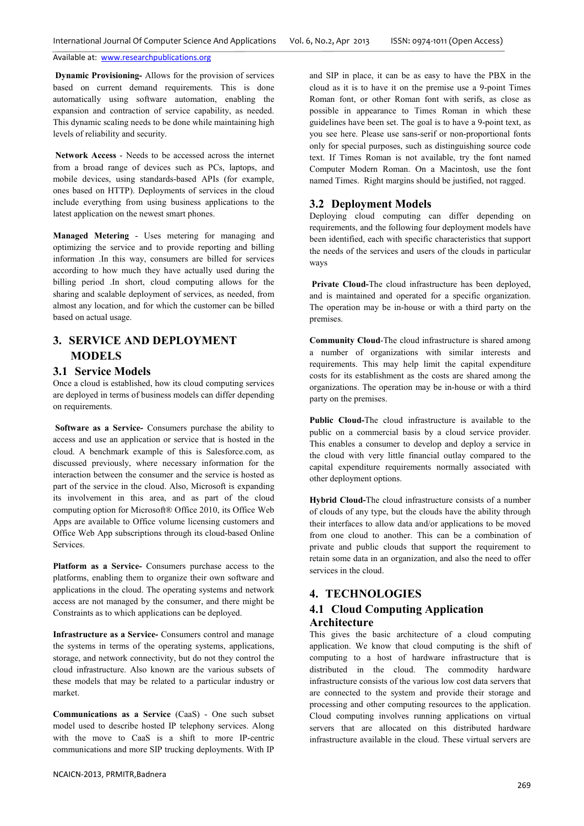**Dynamic Provisioning-** Allows for the provision of services based on current demand requirements. This is done automatically using software automation, enabling the expansion and contraction of service capability, as needed. This dynamic scaling needs to be done while maintaining high levels of reliability and security.

**Network Access** - Needs to be accessed across the internet from a broad range of devices such as PCs, laptops, and mobile devices, using standards-based APIs (for example, ones based on HTTP). Deployments of services in the cloud include everything from using business applications to the latest application on the newest smart phones.

**Managed Metering** - Uses metering for managing and optimizing the service and to provide reporting and billing information .In this way, consumers are billed for services according to how much they have actually used during the billing period .In short, cloud computing allows for the sharing and scalable deployment of services, as needed, from almost any location, and for which the customer can be billed based on actual usage.

# **3. SERVICE AND DEPLOYMENT MODELS**

### **3.1 Service Models**

Once a cloud is established, how its cloud computing services are deployed in terms of business models can differ depending on requirements.

**Software as a Service-** Consumers purchase the ability to access and use an application or service that is hosted in the cloud. A benchmark example of this is Salesforce.com, as discussed previously, where necessary information for the interaction between the consumer and the service is hosted as part of the service in the cloud. Also, Microsoft is expanding its involvement in this area, and as part of the cloud computing option for Microsoft® Office 2010, its Office Web Apps are available to Office volume licensing customers and Office Web App subscriptions through its cloud-based Online Services.

**Platform as a Service-** Consumers purchase access to the platforms, enabling them to organize their own software and applications in the cloud. The operating systems and network access are not managed by the consumer, and there might be Constraints as to which applications can be deployed.

**Infrastructure as a Service-** Consumers control and manage the systems in terms of the operating systems, applications, storage, and network connectivity, but do not they control the cloud infrastructure. Also known are the various subsets of these models that may be related to a particular industry or market.

**Communications as a Service** (CaaS) - One such subset model used to describe hosted IP telephony services. Along with the move to CaaS is a shift to more IP-centric communications and more SIP trucking deployments. With IP

and SIP in place, it can be as easy to have the PBX in the cloud as it is to have it on the premise use a 9-point Times Roman font, or other Roman font with serifs, as close as possible in appearance to Times Roman in which these guidelines have been set. The goal is to have a 9-point text, as you see here. Please use sans-serif or non-proportional fonts only for special purposes, such as distinguishing source code text. If Times Roman is not available, try the font named Computer Modern Roman. On a Macintosh, use the font named Times. Right margins should be justified, not ragged.

### **3.2 Deployment Models**

Deploying cloud computing can differ depending on requirements, and the following four deployment models have been identified, each with specific characteristics that support the needs of the services and users of the clouds in particular ways

**Private Cloud-**The cloud infrastructure has been deployed, and is maintained and operated for a specific organization. The operation may be in-house or with a third party on the premises.

**Community Cloud**-The cloud infrastructure is shared among a number of organizations with similar interests and requirements. This may help limit the capital expenditure costs for its establishment as the costs are shared among the organizations. The operation may be in-house or with a third party on the premises.

**Public Cloud-**The cloud infrastructure is available to the public on a commercial basis by a cloud service provider. This enables a consumer to develop and deploy a service in the cloud with very little financial outlay compared to the capital expenditure requirements normally associated with other deployment options.

**Hybrid Cloud-**The cloud infrastructure consists of a number of clouds of any type, but the clouds have the ability through their interfaces to allow data and/or applications to be moved from one cloud to another. This can be a combination of private and public clouds that support the requirement to retain some data in an organization, and also the need to offer services in the cloud.

## **4. TECHNOLOGIES**

# **4.1 Cloud Computing Application Architecture**

This gives the basic architecture of a cloud computing application. We know that cloud computing is the shift of computing to a host of hardware infrastructure that is distributed in the cloud. The commodity hardware infrastructure consists of the various low cost data servers that are connected to the system and provide their storage and processing and other computing resources to the application. Cloud computing involves running applications on virtual servers that are allocated on this distributed hardware infrastructure available in the cloud. These virtual servers are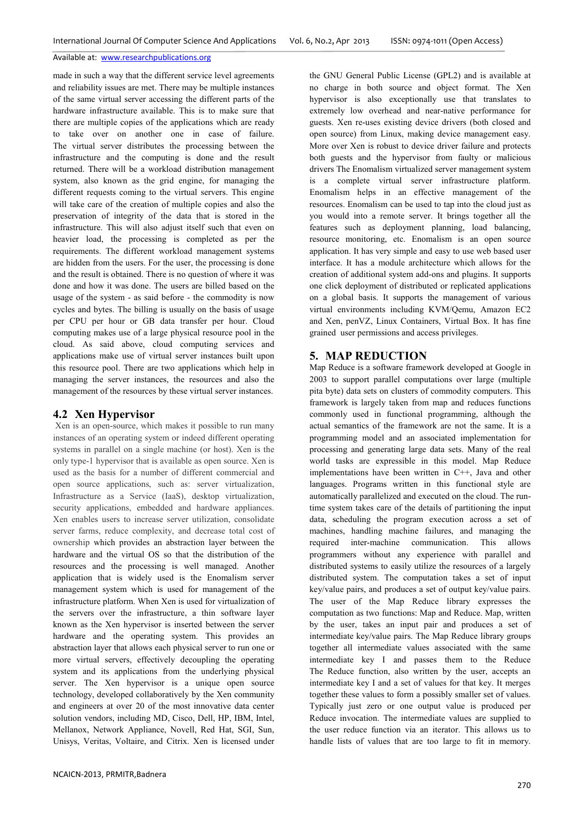made in such a way that the different service level agreements and reliability issues are met. There may be multiple instances of the same virtual server accessing the different parts of the hardware infrastructure available. This is to make sure that there are multiple copies of the applications which are ready to take over on another one in case of failure. The virtual server distributes the processing between the infrastructure and the computing is done and the result returned. There will be a workload distribution management system, also known as the grid engine, for managing the different requests coming to the virtual servers. This engine will take care of the creation of multiple copies and also the preservation of integrity of the data that is stored in the infrastructure. This will also adjust itself such that even on heavier load, the processing is completed as per the requirements. The different workload management systems are hidden from the users. For the user, the processing is done and the result is obtained. There is no question of where it was done and how it was done. The users are billed based on the usage of the system - as said before - the commodity is now cycles and bytes. The billing is usually on the basis of usage per CPU per hour or GB data transfer per hour. Cloud computing makes use of a large physical resource pool in the cloud. As said above, cloud computing services and applications make use of virtual server instances built upon this resource pool. There are two applications which help in managing the server instances, the resources and also the management of the resources by these virtual server instances.

#### **4.2 Xen Hypervisor**

 Xen is an open-source, which makes it possible to run many instances of an operating system or indeed different operating systems in parallel on a single machine (or host). Xen is the only type-1 hypervisor that is available as open source. Xen is used as the basis for a number of different commercial and open source applications, such as: server virtualization, Infrastructure as a Service (IaaS), desktop virtualization, security applications, embedded and hardware appliances. Xen enables users to increase server utilization, consolidate server farms, reduce complexity, and decrease total cost of ownership which provides an abstraction layer between the hardware and the virtual OS so that the distribution of the resources and the processing is well managed. Another application that is widely used is the Enomalism server management system which is used for management of the infrastructure platform. When Xen is used for virtualization of the servers over the infrastructure, a thin software layer known as the Xen hypervisor is inserted between the server hardware and the operating system. This provides an abstraction layer that allows each physical server to run one or more virtual servers, effectively decoupling the operating system and its applications from the underlying physical server. The Xen hypervisor is a unique open source technology, developed collaboratively by the Xen community and engineers at over 20 of the most innovative data center solution vendors, including MD, Cisco, Dell, HP, IBM, Intel, Mellanox, Network Appliance, Novell, Red Hat, SGI, Sun, Unisys, Veritas, Voltaire, and Citrix. Xen is licensed under

the GNU General Public License (GPL2) and is available at no charge in both source and object format. The Xen hypervisor is also exceptionally use that translates to extremely low overhead and near-native performance for guests. Xen re-uses existing device drivers (both closed and open source) from Linux, making device management easy. More over Xen is robust to device driver failure and protects both guests and the hypervisor from faulty or malicious drivers The Enomalism virtualized server management system is a complete virtual server infrastructure platform. Enomalism helps in an effective management of the resources. Enomalism can be used to tap into the cloud just as you would into a remote server. It brings together all the features such as deployment planning, load balancing, resource monitoring, etc. Enomalism is an open source application. It has very simple and easy to use web based user interface. It has a module architecture which allows for the creation of additional system add-ons and plugins. It supports one click deployment of distributed or replicated applications on a global basis. It supports the management of various virtual environments including KVM/Qemu, Amazon EC2 and Xen, penVZ, Linux Containers, Virtual Box. It has fine grained user permissions and access privileges.

### **5. MAP REDUCTION**

Map Reduce is a software framework developed at Google in 2003 to support parallel computations over large (multiple pita byte) data sets on clusters of commodity computers. This framework is largely taken from map and reduces functions commonly used in functional programming, although the actual semantics of the framework are not the same. It is a programming model and an associated implementation for processing and generating large data sets. Many of the real world tasks are expressible in this model. Map Reduce implementations have been written in C++, Java and other languages. Programs written in this functional style are automatically parallelized and executed on the cloud. The runtime system takes care of the details of partitioning the input data, scheduling the program execution across a set of machines, handling machine failures, and managing the required inter-machine communication. This allows programmers without any experience with parallel and distributed systems to easily utilize the resources of a largely distributed system. The computation takes a set of input key/value pairs, and produces a set of output key/value pairs. The user of the Map Reduce library expresses the computation as two functions: Map and Reduce. Map, written by the user, takes an input pair and produces a set of intermediate key/value pairs. The Map Reduce library groups together all intermediate values associated with the same intermediate key I and passes them to the Reduce The Reduce function, also written by the user, accepts an intermediate key I and a set of values for that key. It merges together these values to form a possibly smaller set of values. Typically just zero or one output value is produced per Reduce invocation. The intermediate values are supplied to the user reduce function via an iterator. This allows us to handle lists of values that are too large to fit in memory.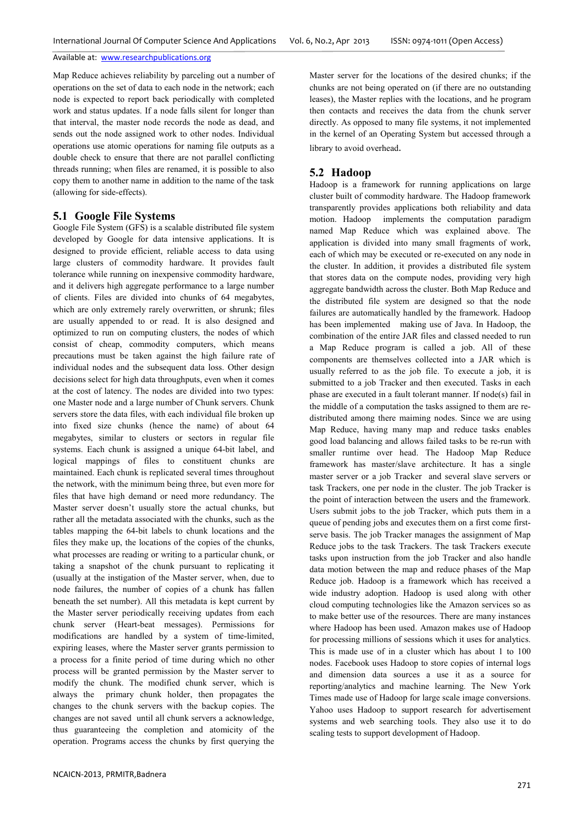Map Reduce achieves reliability by parceling out a number of operations on the set of data to each node in the network; each node is expected to report back periodically with completed work and status updates. If a node falls silent for longer than that interval, the master node records the node as dead, and sends out the node assigned work to other nodes. Individual operations use atomic operations for naming file outputs as a double check to ensure that there are not parallel conflicting threads running; when files are renamed, it is possible to also copy them to another name in addition to the name of the task (allowing for side-effects).

# **5.1 Google File Systems**

Google File System (GFS) is a scalable distributed file system developed by Google for data intensive applications. It is designed to provide efficient, reliable access to data using large clusters of commodity hardware. It provides fault tolerance while running on inexpensive commodity hardware, and it delivers high aggregate performance to a large number of clients. Files are divided into chunks of 64 megabytes, which are only extremely rarely overwritten, or shrunk; files are usually appended to or read. It is also designed and optimized to run on computing clusters, the nodes of which consist of cheap, commodity computers, which means precautions must be taken against the high failure rate of individual nodes and the subsequent data loss. Other design decisions select for high data throughputs, even when it comes at the cost of latency. The nodes are divided into two types: one Master node and a large number of Chunk servers. Chunk servers store the data files, with each individual file broken up into fixed size chunks (hence the name) of about 64 megabytes, similar to clusters or sectors in regular file systems. Each chunk is assigned a unique 64-bit label, and logical mappings of files to constituent chunks are maintained. Each chunk is replicated several times throughout the network, with the minimum being three, but even more for files that have high demand or need more redundancy. The Master server doesn't usually store the actual chunks, but rather all the metadata associated with the chunks, such as the tables mapping the 64-bit labels to chunk locations and the files they make up, the locations of the copies of the chunks, what processes are reading or writing to a particular chunk, or taking a snapshot of the chunk pursuant to replicating it (usually at the instigation of the Master server, when, due to node failures, the number of copies of a chunk has fallen beneath the set number). All this metadata is kept current by the Master server periodically receiving updates from each chunk server (Heart-beat messages). Permissions for modifications are handled by a system of time-limited, expiring leases, where the Master server grants permission to a process for a finite period of time during which no other process will be granted permission by the Master server to modify the chunk. The modified chunk server, which is always the primary chunk holder, then propagates the changes to the chunk servers with the backup copies. The changes are not saved until all chunk servers a acknowledge, thus guaranteeing the completion and atomicity of the operation. Programs access the chunks by first querying the

Master server for the locations of the desired chunks; if the chunks are not being operated on (if there are no outstanding leases), the Master replies with the locations, and he program then contacts and receives the data from the chunk server directly. As opposed to many file systems, it not implemented in the kernel of an Operating System but accessed through a library to avoid overhead.

#### **5.2 Hadoop**

Hadoop is a framework for running applications on large cluster built of commodity hardware. The Hadoop framework transparently provides applications both reliability and data motion. Hadoop implements the computation paradigm named Map Reduce which was explained above. The application is divided into many small fragments of work, each of which may be executed or re-executed on any node in the cluster. In addition, it provides a distributed file system that stores data on the compute nodes, providing very high aggregate bandwidth across the cluster. Both Map Reduce and the distributed file system are designed so that the node failures are automatically handled by the framework. Hadoop has been implemented making use of Java. In Hadoop, the combination of the entire JAR files and classed needed to run a Map Reduce program is called a job. All of these components are themselves collected into a JAR which is usually referred to as the job file. To execute a job, it is submitted to a job Tracker and then executed. Tasks in each phase are executed in a fault tolerant manner. If node(s) fail in the middle of a computation the tasks assigned to them are redistributed among there maiming nodes. Since we are using Map Reduce, having many map and reduce tasks enables good load balancing and allows failed tasks to be re-run with smaller runtime over head. The Hadoop Map Reduce framework has master/slave architecture. It has a single master server or a job Tracker and several slave servers or task Trackers, one per node in the cluster. The job Tracker is the point of interaction between the users and the framework. Users submit jobs to the job Tracker, which puts them in a queue of pending jobs and executes them on a first come firstserve basis. The job Tracker manages the assignment of Map Reduce jobs to the task Trackers. The task Trackers execute tasks upon instruction from the job Tracker and also handle data motion between the map and reduce phases of the Map Reduce job. Hadoop is a framework which has received a wide industry adoption. Hadoop is used along with other cloud computing technologies like the Amazon services so as to make better use of the resources. There are many instances where Hadoop has been used. Amazon makes use of Hadoop for processing millions of sessions which it uses for analytics. This is made use of in a cluster which has about 1 to 100 nodes. Facebook uses Hadoop to store copies of internal logs and dimension data sources a use it as a source for reporting/analytics and machine learning. The New York Times made use of Hadoop for large scale image conversions. Yahoo uses Hadoop to support research for advertisement systems and web searching tools. They also use it to do scaling tests to support development of Hadoop.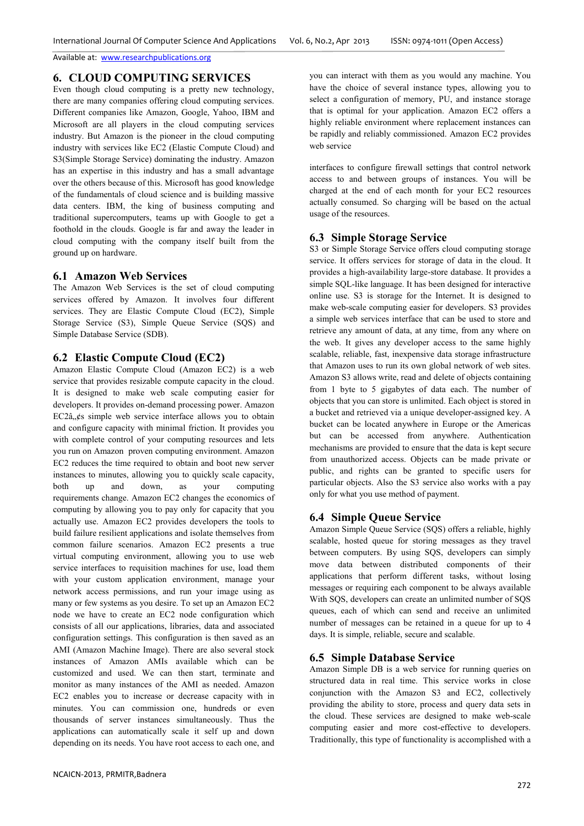# **6. CLOUD COMPUTING SERVICES**

Even though cloud computing is a pretty new technology, there are many companies offering cloud computing services. Different companies like Amazon, Google, Yahoo, IBM and Microsoft are all players in the cloud computing services industry. But Amazon is the pioneer in the cloud computing industry with services like EC2 (Elastic Compute Cloud) and S3(Simple Storage Service) dominating the industry. Amazon has an expertise in this industry and has a small advantage over the others because of this. Microsoft has good knowledge of the fundamentals of cloud science and is building massive data centers. IBM, the king of business computing and traditional supercomputers, teams up with Google to get a foothold in the clouds. Google is far and away the leader in cloud computing with the company itself built from the ground up on hardware.

### **6.1 Amazon Web Services**

The Amazon Web Services is the set of cloud computing services offered by Amazon. It involves four different services. They are Elastic Compute Cloud (EC2), Simple Storage Service (S3), Simple Queue Service (SQS) and Simple Database Service (SDB).

### **6.2 Elastic Compute Cloud (EC2)**

Amazon Elastic Compute Cloud (Amazon EC2) is a web service that provides resizable compute capacity in the cloud. It is designed to make web scale computing easier for developers. It provides on-demand processing power. Amazon  $EC2\hat{a}$   $\&$  simple web service interface allows you to obtain and configure capacity with minimal friction. It provides you with complete control of your computing resources and lets you run on Amazon proven computing environment. Amazon EC2 reduces the time required to obtain and boot new server instances to minutes, allowing you to quickly scale capacity, both up and down, as your computing requirements change. Amazon EC2 changes the economics of computing by allowing you to pay only for capacity that you actually use. Amazon EC2 provides developers the tools to build failure resilient applications and isolate themselves from common failure scenarios. Amazon EC2 presents a true virtual computing environment, allowing you to use web service interfaces to requisition machines for use, load them with your custom application environment, manage your network access permissions, and run your image using as many or few systems as you desire. To set up an Amazon EC2 node we have to create an EC2 node configuration which consists of all our applications, libraries, data and associated configuration settings. This configuration is then saved as an AMI (Amazon Machine Image). There are also several stock instances of Amazon AMIs available which can be customized and used. We can then start, terminate and monitor as many instances of the AMI as needed. Amazon EC2 enables you to increase or decrease capacity with in minutes. You can commission one, hundreds or even thousands of server instances simultaneously. Thus the applications can automatically scale it self up and down depending on its needs. You have root access to each one, and

you can interact with them as you would any machine. You have the choice of several instance types, allowing you to select a configuration of memory, PU, and instance storage that is optimal for your application. Amazon EC2 offers a highly reliable environment where replacement instances can be rapidly and reliably commissioned. Amazon EC2 provides web service

interfaces to configure firewall settings that control network access to and between groups of instances. You will be charged at the end of each month for your EC2 resources actually consumed. So charging will be based on the actual usage of the resources.

### **6.3 Simple Storage Service**

S3 or Simple Storage Service offers cloud computing storage service. It offers services for storage of data in the cloud. It provides a high-availability large-store database. It provides a simple SQL-like language. It has been designed for interactive online use. S3 is storage for the Internet. It is designed to make web-scale computing easier for developers. S3 provides a simple web services interface that can be used to store and retrieve any amount of data, at any time, from any where on the web. It gives any developer access to the same highly scalable, reliable, fast, inexpensive data storage infrastructure that Amazon uses to run its own global network of web sites. Amazon S3 allows write, read and delete of objects containing from 1 byte to 5 gigabytes of data each. The number of objects that you can store is unlimited. Each object is stored in a bucket and retrieved via a unique developer-assigned key. A bucket can be located anywhere in Europe or the Americas but can be accessed from anywhere. Authentication mechanisms are provided to ensure that the data is kept secure from unauthorized access. Objects can be made private or public, and rights can be granted to specific users for particular objects. Also the S3 service also works with a pay only for what you use method of payment.

### **6.4 Simple Queue Service**

Amazon Simple Queue Service (SQS) offers a reliable, highly scalable, hosted queue for storing messages as they travel between computers. By using SQS, developers can simply move data between distributed components of their applications that perform different tasks, without losing messages or requiring each component to be always available With SQS, developers can create an unlimited number of SQS queues, each of which can send and receive an unlimited number of messages can be retained in a queue for up to 4 days. It is simple, reliable, secure and scalable.

### **6.5 Simple Database Service**

Amazon Simple DB is a web service for running queries on structured data in real time. This service works in close conjunction with the Amazon S3 and EC2, collectively providing the ability to store, process and query data sets in the cloud. These services are designed to make web-scale computing easier and more cost-effective to developers. Traditionally, this type of functionality is accomplished with a